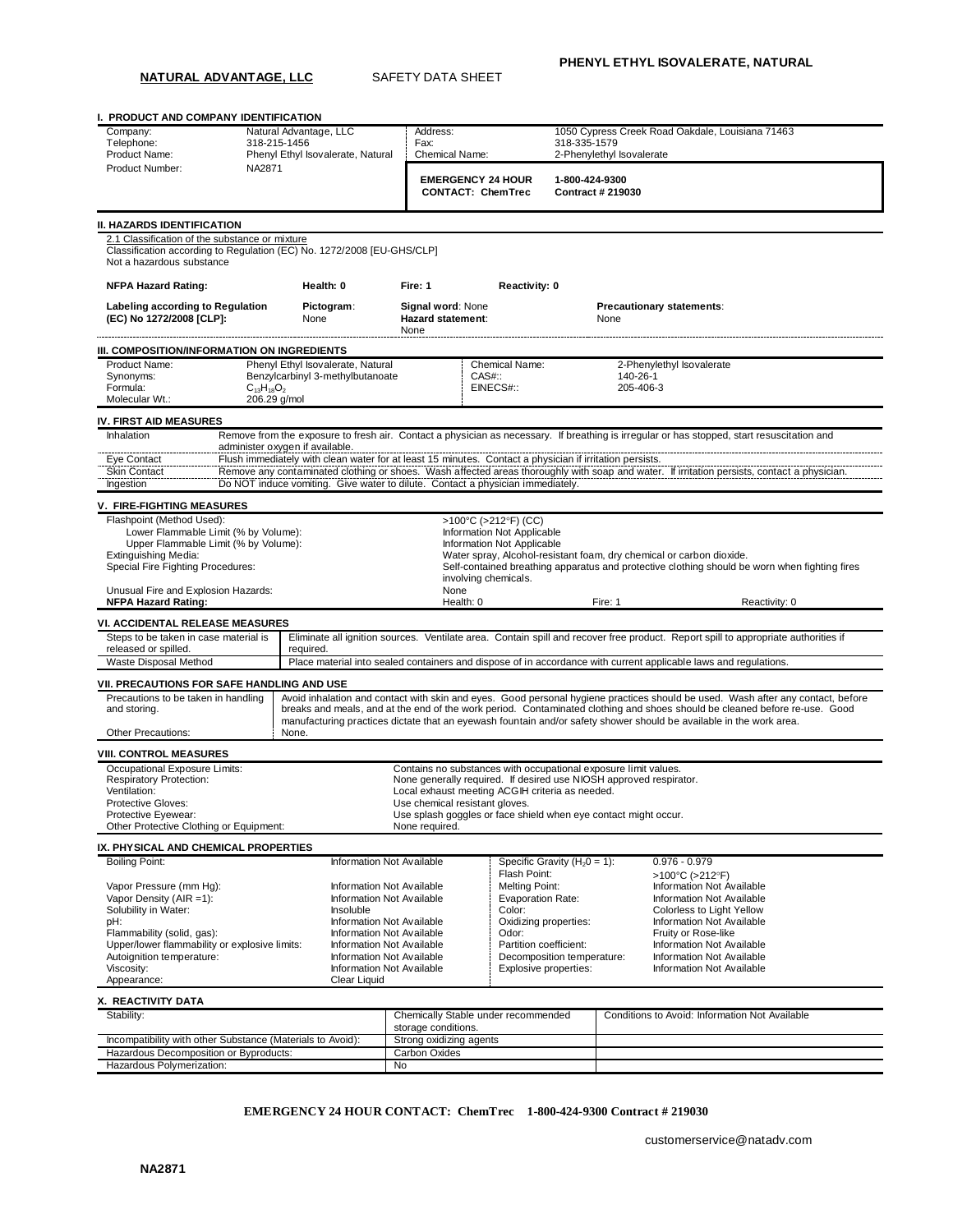**NATURAL ADVANTAGE, LLC** SAFETY DATA SHEET

**I. PRODUCT AND COMPANY IDENTIFICATION** Company: Natural Advantage, LLC Address: 1050 Cypress Creek Road Oakdale, Louisiana 71463<br>1999 - Telephone: 118-215-1456 - Fax: 118-335-1579 Telephone: 318-215-1456 Fax: Fax: 318-335-1579<br>Product Name: Phenyl Ethyl Isovalerate, Natural Chemical Name: 2-Phenylethyl Isovalerate Phenyl Ethyl Isovalerate, Natural Product Number: NA2871 **EMERGENCY 24 HOUR CONTACT: ChemTrec 1-800-424-9300 Contract # 219030 II. HAZARDS IDENTIFICATION** 2.1 Classification of the substance or mixture Classification according to Regulation (EC) No. 1272/2008 [EU-GHS/CLP] Not a hazardous substance **NFPA Hazard Rating: Health: 0 Fire: 1 Reactivity: 0 Labeling according to Regulation (EC) No 1272/2008 [CLP]: Pictogram**: None **Signal word**: None **Hazard statement**: None **Precautionary statements**: None **III. COMPOSITION/INFORMATION ON INGREDIENTS** Product Name: Phenyl Ethyl Isovalerate, Natural Chemical Name: 2-Phenylethyl Isovalerate<br>
Phenylethyl 3-methylbutanoate CAS#:: 140-26-1 Benzylcarbinyl 3-methylbutanoate CAS#:: 140-26-1<br>C<sub>13</sub>H<sub>18</sub>O<sub>2</sub> 205-406-3<br>EINECS#:: 205-406-3 Formula:  $C_{13}H_{18}O_2$  expansion of the EINECS#:: 205-406-3 Molecular Wt.: 206.29 g/mol **IV. FIRST AID MEASURES** Inhalation Remove from the exposure to fresh air. Contact a physician as necessary. If breathing is irregular or has stopped, start resuscitation and administer oxygen if available. Eye Contact Flush immediately with clean water for at least 15 minutes. Contact a physician if irritation persists.<br>Skin Contact Remove any contaminated clothing or shoes. Wash affected areas thoroughly with soap and water Remove any contaminated clothing or shoes. Wash affected areas thoroughly with soap and water. If irritation persists, contact a physician. Ingestion Do NOT induce vomiting. Give water to dilute. Contact a physician immediately. **V. FIRE-FIGHTING MEASURES** Flashpoint (Method Used):  $>100^{\circ}C$  (>212°F) (CC)<br>
Lower Flammable Limit (% by Volume):  $\qquad \qquad$  Information Not Applicable n pound the seculus of the Lower Flammable Limit (% by Volume):<br>
Lower Flammable Limit (% by Volume):<br>
Upper Flammable Limit (% by Volume): Upper Flammable Limit (% by Volume):<br>Extinguishing Media: Extinguishing Media: Water spray, Alcohol-resistant foam, dry chemical or carbon dioxide.<br>
Special Fire Fighting Procedures: The Contained breathing apparatus and protective clothing should be Self-contained breathing apparatus and protective clothing should be worn when fighting fires involving chemicals. Unusual Fire and Explosion Hazards: None **NFPA Hazard Rating: Notionally Reactivity: 0 Health: 0 Health: 0 Fire: 1 Heactivity: 0 Reactivity: 0 Reactivity: 0 Health: 0 Fire: 1 Reactivity: 0 Reactivity: 0 Health: 0 Health: 0 Health: 0 VI. ACCIDENTAL RELEASE MEASURES** Steps to be taken in case material is released or spilled.<br>Waste Disposal Method Eliminate all ignition sources. Ventilate area. Contain spill and recover free product. Report spill to appropriate authorities if required. Place material into sealed containers and dispose of in accordance with current applicable laws and regulations. **VII. PRECAUTIONS FOR SAFE HANDLING AND USE** Precautions to be taken in handling and storing. Avoid inhalation and contact with skin and eyes. Good personal hygiene practices should be used. Wash after any contact, before breaks and meals, and at the end of the work period. Contaminated clothing and shoes should be cleaned before re-use. Good manufacturing practices dictate that an eyewash fountain and/or safety shower should be available in the work area. Other Precautions: None. **VIII. CONTROL MEASURES** Occupational Exposure Limits: Respiratory Protection: Contains no substances with occupational exposure limit values. None generally required. If desired use NIOSH approved respirator. Ventilation:<br>
Local exhaust meeting ACGIH criteria as needed.<br>
Protective Gloves:<br>
Use chemical resistant gloves. Use chemical resistant gloves. Protective Eyewear: Use splash goggles or face shield when eye contact might occur.<br>
Other Protective Clothing or Equipment: None required. Other Protective Clothing or Equipment: **IX. PHYSICAL AND CHEMICAL PROPERTIES** Boiling Point: Information Not Available Specific Gravity (H20 = 1): 0.976 - 0.979 Flash Point:  $>100^{\circ}C$  (>212°F)<br>Melting Point: Information Not Available Vapor Pressure (mm Hg): Information Not Available Melting Point: Information Not Available Vapor Density (AIR =1):<br>Information Not Available Melting Point: Information Not Available Vaporation Rate: Information Not Availab Vapor Density (AIR =1): Solubility in Water: **Insoluble Color Color:** Color: Colorless to Light Yellow<br>
Distribution Oxidizing properties: Colorless to Light Yellow<br>
Oxidizing properties: Colorless to Light Yellow pH: Information Not Available | Oxidizing properties: Information Not Available | Oxidizing properties: Information Not Available | Color: Information Not Available | Odor: Information Not Available | Odor: Information Not Fruity or Rose-like<br>
Fruity or Rose-like<br>
Fruity or Rose-like<br>
Fruity or Rose-like<br>
Mormation Not Available<br>
Partition coefficient:<br>
Fruity or Rose-like Upper/lower flammability or explosive limits: Information Not Available Partition coefficient: Information Not Available<br>Autoignition temperature: Information Not Available Decomposition temperature: Information Not Availa Autoignition temperature: <br>
Viscosity: Information Not Available Viscosity: Information Not Available<br>
Viscosity: Information Not Available<br>
Viscosity: Information Not Available Information Not Available Appearance: Clear Liquid **X. REACTIVITY DATA** Stability: Chemically Stable under recommended storage conditions. Conditions to Avoid: Information Not Available Incompatibility with other Substance (Materials to Avoid): Strong oxidizing agents Hazardous Decomposition or Byproducts: Carbon Oxides

**EMERGENCY 24 HOUR CONTACT: ChemTrec 1-800-424-9300 Contract # 219030**

Hazardous Polymerization: No